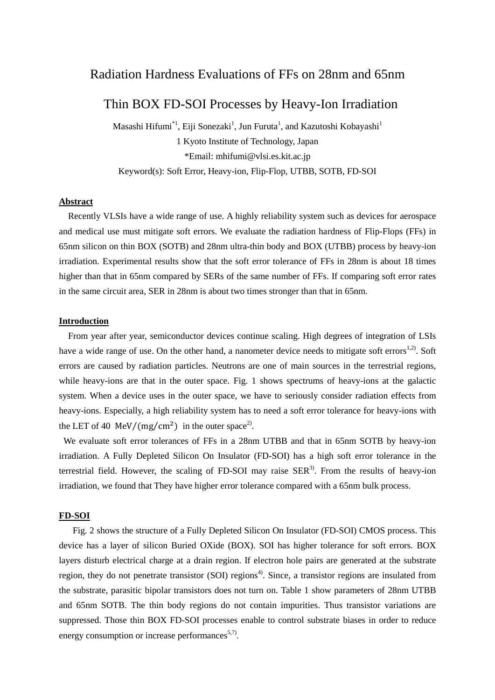# Radiation Hardness Evaluations of FFs on 28nm and 65nm

# Thin BOX FD-SOI Processes by Heavy-Ion Irradiation

Masashi Hifumi<sup>\*1</sup>, Eiji Sonezaki<sup>1</sup>, Jun Furuta<sup>1</sup>, and Kazutoshi Kobayashi<sup>1</sup> 1 Kyoto Institute of Technology, Japan \*Email: mhifumi@vlsi.es.kit.ac.jp Keyword(s): Soft Error, Heavy-ion, Flip-Flop, UTBB, SOTB, FD-SOI

#### **Abstract**

Recently VLSIs have a wide range of use. A highly reliability system such as devices for aerospace and medical use must mitigate soft errors. We evaluate the radiation hardness of Flip-Flops (FFs) in 65nm silicon on thin BOX (SOTB) and 28nm ultra-thin body and BOX (UTBB) process by heavy-ion irradiation. Experimental results show that the soft error tolerance of FFs in 28nm is about 18 times higher than that in 65nm compared by SERs of the same number of FFs. If comparing soft error rates in the same circuit area, SER in 28nm is about two times stronger than that in 65nm.

#### **Introduction**

 From year after year, semiconductor devices continue scaling. High degrees of integration of LSIs have a wide range of use. On the other hand, a nanometer device needs to mitigate soft errors<sup>1,2)</sup>. Soft errors are caused by radiation particles. Neutrons are one of main sources in the terrestrial regions, while heavy-ions are that in the outer space. Fig. 1 shows spectrums of heavy-ions at the galactic system. When a device uses in the outer space, we have to seriously consider radiation effects from heavy-ions. Especially, a high reliability system has to need a soft error tolerance for heavy-ions with the LET of 40 MeV/(mg/cm<sup>2</sup>) in the outer space<sup>2</sup>.

We evaluate soft error tolerances of FFs in a 28nm UTBB and that in 65nm SOTB by heavy-ion irradiation. A Fully Depleted Silicon On Insulator (FD-SOI) has a high soft error tolerance in the terrestrial field. However, the scaling of FD-SOI may raise  $SER<sup>3</sup>$ . From the results of heavy-ion irradiation, we found that They have higher error tolerance compared with a 65nm bulk process.

#### **FD-SOI**

 Fig. 2 shows the structure of a Fully Depleted Silicon On Insulator (FD-SOI) CMOS process. This device has a layer of silicon Buried OXide (BOX). SOI has higher tolerance for soft errors. BOX layers disturb electrical charge at a drain region. If electron hole pairs are generated at the substrate region, they do not penetrate transistor (SOI) regions<sup>4)</sup>. Since, a transistor regions are insulated from the substrate, parasitic bipolar transistors does not turn on. Table 1 show parameters of 28nm UTBB and 65nm SOTB. The thin body regions do not contain impurities. Thus transistor variations are suppressed. Those thin BOX FD-SOI processes enable to control substrate biases in order to reduce energy consumption or increase performances<sup>5,7)</sup>.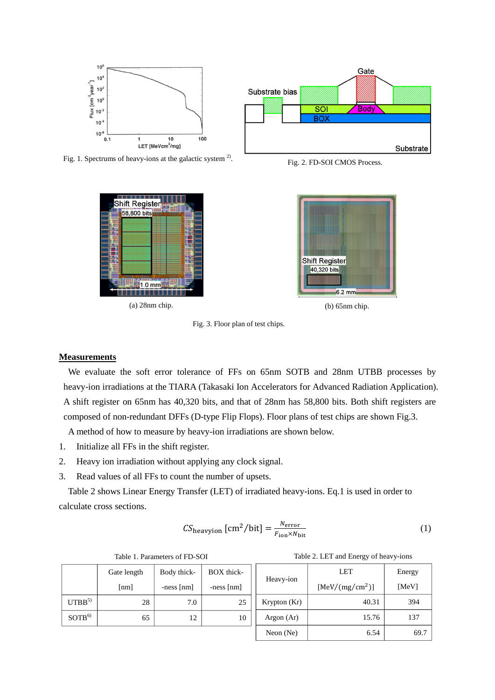

Fig. 1. Spectrums of heavy-ions at the galactic system  $2^2$ .



 $(a)$  28nm chip.



Fig. 2. FD-SOI CMOS Process.



 $(b)$  65nm chip.

Fig. 3. Floor plan of test chips.

#### **Measurements**

 We evaluate the soft error tolerance of FFs on 65nm SOTB and 28nm UTBB processes by heavy-ion irradiations at the TIARA (Takasaki Ion Accelerators for Advanced Radiation Application). A shift register on 65nm has 40,320 bits, and that of 28nm has 58,800 bits. Both shift registers are composed of non-redundant DFFs (D-type Flip Flops). Floor plans of test chips are shown Fig.3.

A method of how to measure by heavy-ion irradiations are shown below.

- 1. Initialize all FFs in the shift register.
- 2. Heavy ion irradiation without applying any clock signal.
- 3. Read values of all FFs to count the number of upsets.

Table 2 shows Linear Energy Transfer (LET) of irradiated heavy-ions. Eq.1 is used in order to calculate cross sections.

$$
CS_{\text{heavyion}} \text{ [cm}^2/\text{bit]} = \frac{N_{\text{error}}}{F_{\text{ion}} \times N_{\text{bit}}} \tag{1}
$$

|                   | Gate length        | Body thick-  | BOX thick-   | Heavy-ion    | LET                         | Energy |
|-------------------|--------------------|--------------|--------------|--------------|-----------------------------|--------|
|                   | $\lceil nm \rceil$ | $-ness$ [nm] | $-ness$ [nm] |              | [MeV/(mg/cm <sup>2</sup> )] | [MeV]  |
| UTBB <sup>5</sup> | 28                 | 7.0          | 25           | Krypton (Kr) | 40.31                       | 394    |
| SOTB <sup>6</sup> | 65                 | 12           | 10           | Argon $(Ar)$ | 15.76                       | 137    |
|                   |                    |              |              | Neon $(Ne)$  | 6.54                        | 69.7   |

|  | Table 1. Parameters of FD-SOI |  |
|--|-------------------------------|--|
|--|-------------------------------|--|

Table 2. LET and Energy of heavy-ions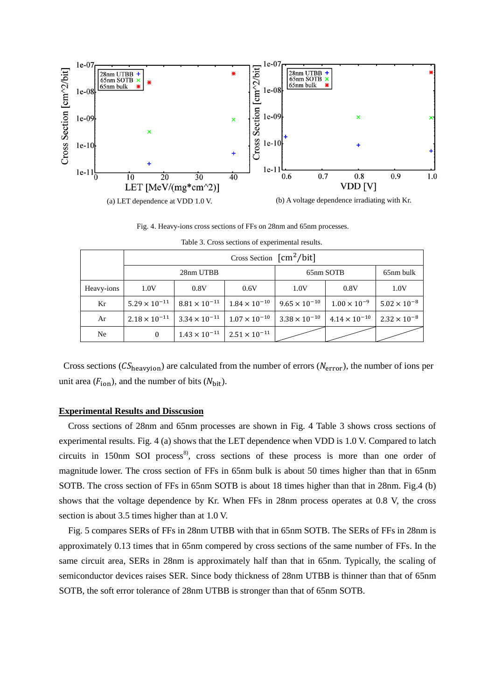

Fig. 4. Heavy-ions cross sections of FFs on 28nm and 65nm processes.

|            | 28nm UTBB              |                                                 |                        | 65nm SOTB              | 65nm bulk              |                       |
|------------|------------------------|-------------------------------------------------|------------------------|------------------------|------------------------|-----------------------|
| Heavy-ions | 1.0V                   | 0.8V                                            | 0.6V                   | 1.0V                   | 0.8V                   | 1.0V                  |
| Kr         | $5.29 \times 10^{-11}$ | $8.81 \times 10^{-11}$                          | $1.84 \times 10^{-10}$ | $9.65 \times 10^{-10}$ | $1.00 \times 10^{-9}$  | $5.02 \times 10^{-8}$ |
| Ar         | $2.18 \times 10^{-11}$ | $3.34 \times 10^{-11}$                          | $1.07 \times 10^{-10}$ | $3.38 \times 10^{-10}$ | $4.14 \times 10^{-10}$ | $2.32 \times 10^{-8}$ |
| Ne         | $\boldsymbol{0}$       | $1.43 \times 10^{-11}$   $2.51 \times 10^{-11}$ |                        |                        |                        |                       |

Table 3. Cross sections of experimental results.

Cross sections ( $CS_{\text{heavyion}}$ ) are calculated from the number of errors ( $N_{\text{error}}$ ), the number of ions per unit area  $(F_{\text{ion}})$ , and the number of bits  $(N_{\text{hit}})$ .

### **Experimental Results and Disscusion**

Cross sections of 28nm and 65nm processes are shown in Fig. 4 Table 3 shows cross sections of experimental results. Fig. 4 (a) shows that the LET dependence when VDD is 1.0 V. Compared to latch circuits in 150nm SOI process<sup>8</sup>, cross sections of these process is more than one order of magnitude lower. The cross section of FFs in 65nm bulk is about 50 times higher than that in 65nm SOTB. The cross section of FFs in 65nm SOTB is about 18 times higher than that in 28nm. Fig.4 (b) shows that the voltage dependence by Kr. When FFs in 28nm process operates at 0.8 V, the cross section is about 3.5 times higher than at 1.0 V.

Fig. 5 compares SERs of FFs in 28nm UTBB with that in 65nm SOTB. The SERs of FFs in 28nm is approximately 0.13 times that in 65nm compered by cross sections of the same number of FFs. In the same circuit area, SERs in 28nm is approximately half than that in 65nm. Typically, the scaling of semiconductor devices raises SER. Since body thickness of 28nm UTBB is thinner than that of 65nm SOTB, the soft error tolerance of 28nm UTBB is stronger than that of 65nm SOTB.